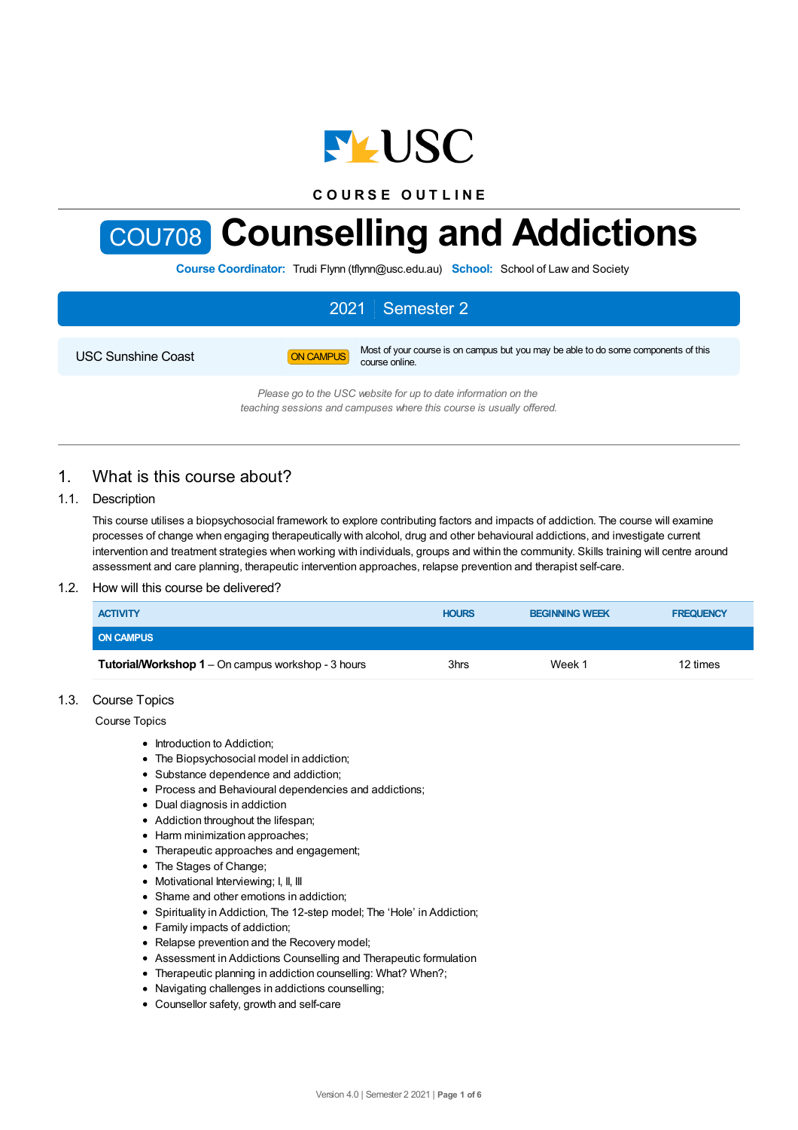

**C O U R S E O U T L I N E**



**Course Coordinator:** Trudi Flynn (tflynn@usc.edu.au) **School:** School of Law and Society

# 2021 Semester 2 USC Sunshine Coast **ON CAMPUS** Most of your course is on campus but you may be able to do some components of this course online.

*Please go to the USC website for up to date information on the teaching sessions and campuses where this course is usually offered.*

# 1. What is this course about?

### 1.1. Description

This course utilises a biopsychosocial framework to explore contributing factors and impacts of addiction. The course will examine processes of change when engaging therapeutically with alcohol, drug and other behavioural addictions, and investigate current intervention and treatment strategies when working with individuals, groups and within the community. Skills training will centre around assessment and care planning, therapeutic intervention approaches, relapse prevention and therapist self-care.

### 1.2. How will this course be delivered?

| <b>ACTIVITY</b>                                           | <b>HOURS</b> | <b>BEGINNING WEEK</b> | <b>FREQUENCY</b> |
|-----------------------------------------------------------|--------------|-----------------------|------------------|
| <b>ON CAMPUS</b>                                          |              |                       |                  |
| <b>Tutorial/Workshop 1</b> – On campus workshop - 3 hours | 3hrs         | Week 1                | 12 times         |

### 1.3. Course Topics

Course Topics

- Introduction to Addiction:
- The Biopsychosocial model in addiction;
- Substance dependence and addiction:
- Process and Behavioural dependencies and addictions;
- Dual diagnosis in addiction
- Addiction throughout the lifespan;
- Harm minimization approaches;
- Therapeutic approaches and engagement;
- The Stages of Change;
- Motivational Interviewing; I, II, III
- Shame and other emotions in addiction:
- Spirituality in Addiction, The 12-step model; The 'Hole' in Addiction;
- Family impacts of addiction;
- Relapse prevention and the Recovery model;
- Assessment in Addictions Counselling and Therapeutic formulation
- Therapeutic planning in addiction counselling: What? When?;
- Navigating challenges in addictions counselling;
- Counsellor safety, growth and self-care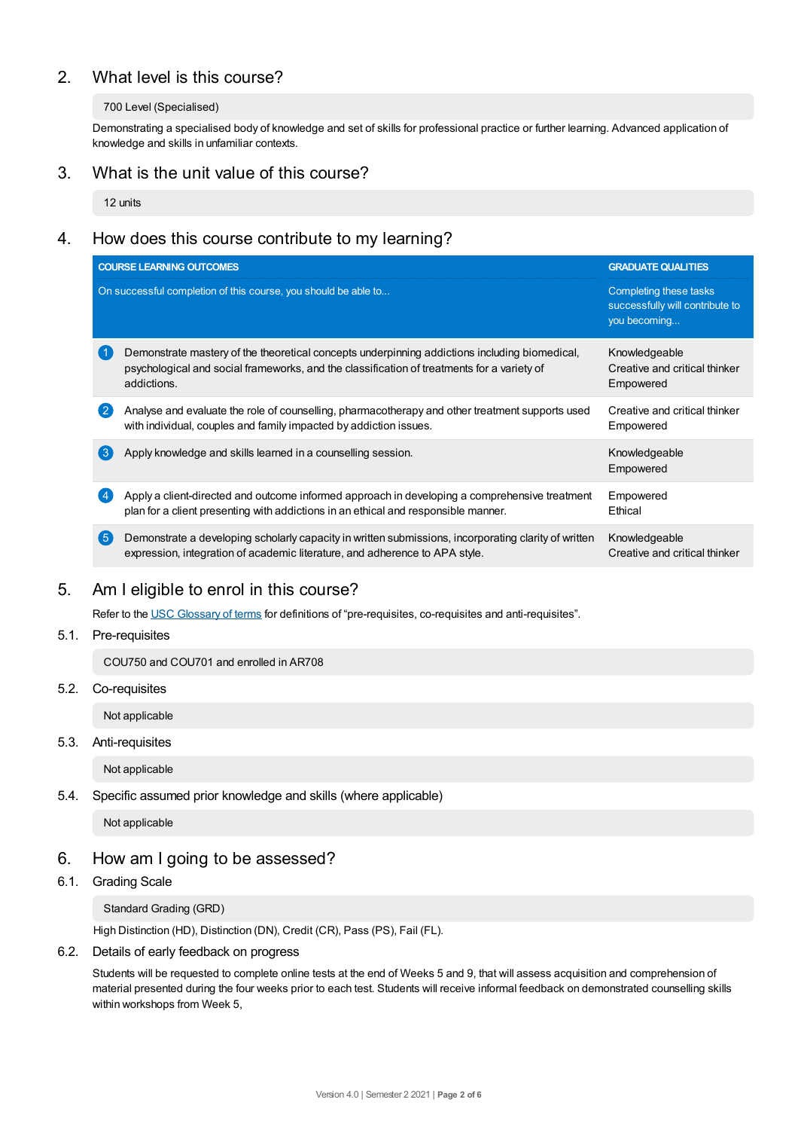# 2. What level is this course?

### 700 Level (Specialised)

Demonstrating a specialised body of knowledge and set of skills for professional practice or further learning. Advanced application of knowledge and skills in unfamiliar contexts.

### 3. What is the unit value of this course?

12 units

# 4. How does this course contribute to my learning?

|                   | <b>COURSE LEARNING OUTCOMES</b>                                                                                                                                                                            | <b>GRADUATE QUALITIES</b>                                                 |
|-------------------|------------------------------------------------------------------------------------------------------------------------------------------------------------------------------------------------------------|---------------------------------------------------------------------------|
|                   | On successful completion of this course, you should be able to                                                                                                                                             | Completing these tasks<br>successfully will contribute to<br>you becoming |
|                   | Demonstrate mastery of the theoretical concepts underpinning addictions including biomedical,<br>psychological and social frameworks, and the classification of treatments for a variety of<br>addictions. | Knowledgeable<br>Creative and critical thinker<br>Empowered               |
| $^{\circ}2$       | Analyse and evaluate the role of counselling, pharmacotherapy and other treatment supports used<br>with individual, couples and family impacted by addiction issues.                                       | Creative and critical thinker<br>Empowered                                |
| $\left( 3\right)$ | Apply knowledge and skills learned in a counselling session.                                                                                                                                               | Knowledgeable<br>Empowered                                                |
|                   | Apply a client-directed and outcome informed approach in developing a comprehensive treatment<br>plan for a client presenting with addictions in an ethical and responsible manner.                        | Empowered<br>Ethical                                                      |
| (5)               | Demonstrate a developing scholarly capacity in written submissions, incorporating clarity of written<br>expression, integration of academic literature, and adherence to APA style.                        | Knowledgeable<br>Creative and critical thinker                            |

## 5. Am Ieligible to enrol in this course?

Refer to the USC [Glossary](https://www.usc.edu.au/about/policies-and-procedures/glossary-of-terms-for-policy-and-procedures) of terms for definitions of "pre-requisites, co-requisites and anti-requisites".

### 5.1. Pre-requisites

COU750 and COU701 and enrolled in AR708

5.2. Co-requisites

Not applicable

5.3. Anti-requisites

Not applicable

5.4. Specific assumed prior knowledge and skills (where applicable)

Not applicable

## 6. How am Igoing to be assessed?

### 6.1. Grading Scale

Standard Grading (GRD)

High Distinction (HD), Distinction (DN), Credit (CR), Pass (PS), Fail (FL).

### 6.2. Details of early feedback on progress

Students will be requested to complete online tests at the end of Weeks 5 and 9, that will assess acquisition and comprehension of material presented during the four weeks prior to each test. Students will receive informal feedback on demonstrated counselling skills within workshops from Week 5,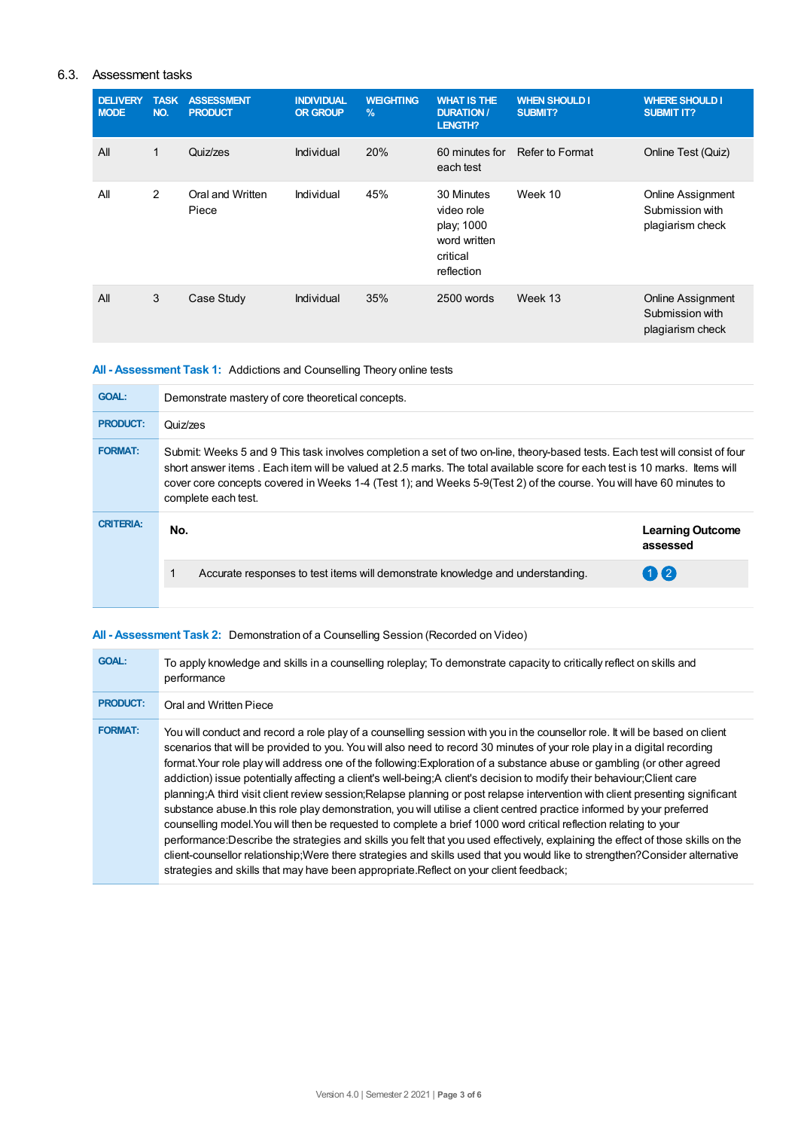### 6.3. Assessment tasks

| <b>DELIVERY</b><br><b>MODE</b> | <b>TASK</b><br>NO. | <b>ASSESSMENT</b><br><b>PRODUCT</b> | <b>INDIVIDUAL</b><br><b>OR GROUP</b> | <b>WEIGHTING</b><br>$\frac{9}{6}$ | <b>WHAT IS THE</b><br><b>DURATION /</b><br>LENGTH?                               | <b>WHEN SHOULD I</b><br><b>SUBMIT?</b> | <b>WHERE SHOULD I</b><br><b>SUBMIT IT?</b>                      |
|--------------------------------|--------------------|-------------------------------------|--------------------------------------|-----------------------------------|----------------------------------------------------------------------------------|----------------------------------------|-----------------------------------------------------------------|
| All                            | 1                  | Quiz/zes                            | Individual                           | 20%                               | 60 minutes for<br>each test                                                      | Refer to Format                        | Online Test (Quiz)                                              |
| All                            | 2                  | Oral and Written<br>Piece           | Individual                           | 45%                               | 30 Minutes<br>video role<br>play; 1000<br>word written<br>critical<br>reflection | Week 10                                | Online Assignment<br>Submission with<br>plagiarism check        |
| All                            | 3                  | Case Study                          | Individual                           | 35%                               | 2500 words                                                                       | Week 13                                | <b>Online Assignment</b><br>Submission with<br>plagiarism check |

### **All - Assessment Task 1:** Addictions and Counselling Theory online tests

| <b>GOAL:</b>     | Demonstrate mastery of core theoretical concepts.                                                                                                                                                                                                                                                                                                                                                        |                                     |  |  |
|------------------|----------------------------------------------------------------------------------------------------------------------------------------------------------------------------------------------------------------------------------------------------------------------------------------------------------------------------------------------------------------------------------------------------------|-------------------------------------|--|--|
| <b>PRODUCT:</b>  | Quiz/zes                                                                                                                                                                                                                                                                                                                                                                                                 |                                     |  |  |
| <b>FORMAT:</b>   | Submit: Weeks 5 and 9 This task involves completion a set of two on-line, theory-based tests. Each test will consist of four<br>short answer items. Each item will be valued at 2.5 marks. The total available score for each test is 10 marks, Items will<br>cover core concepts covered in Weeks 1-4 (Test 1); and Weeks 5-9(Test 2) of the course. You will have 60 minutes to<br>complete each test. |                                     |  |  |
| <b>CRITERIA:</b> | No.                                                                                                                                                                                                                                                                                                                                                                                                      | <b>Learning Outcome</b><br>assessed |  |  |
|                  | Accurate responses to test items will demonstrate knowledge and understanding.                                                                                                                                                                                                                                                                                                                           | $(1)$ (2)                           |  |  |
|                  |                                                                                                                                                                                                                                                                                                                                                                                                          |                                     |  |  |

### **All - Assessment Task 2:** Demonstration of a Counselling Session (Recorded on Video)

| <b>GOAL:</b>    | To apply knowledge and skills in a counselling roleplay; To demonstrate capacity to critically reflect on skills and<br>performance                                                                                                                                                                                                                                                                                                                                                                                                                                                                                                                                                                                                                                                                                                                                                                                                                                                                                                                                                                                                                                                                                                                              |
|-----------------|------------------------------------------------------------------------------------------------------------------------------------------------------------------------------------------------------------------------------------------------------------------------------------------------------------------------------------------------------------------------------------------------------------------------------------------------------------------------------------------------------------------------------------------------------------------------------------------------------------------------------------------------------------------------------------------------------------------------------------------------------------------------------------------------------------------------------------------------------------------------------------------------------------------------------------------------------------------------------------------------------------------------------------------------------------------------------------------------------------------------------------------------------------------------------------------------------------------------------------------------------------------|
| <b>PRODUCT:</b> | Oral and Written Piece                                                                                                                                                                                                                                                                                                                                                                                                                                                                                                                                                                                                                                                                                                                                                                                                                                                                                                                                                                                                                                                                                                                                                                                                                                           |
| <b>FORMAT:</b>  | You will conduct and record a role play of a counselling session with you in the counsellor role. It will be based on client<br>scenarios that will be provided to you. You will also need to record 30 minutes of your role play in a digital recording<br>format. Your role play will address one of the following: Exploration of a substance abuse or gambling (or other agreed<br>addiction) issue potentially affecting a client's well-being: A client's decision to modify their behaviour; Client care<br>planning; A third visit client review session; Relapse planning or post relapse intervention with client presenting significant<br>substance abuse. In this role play demonstration, you will utilise a client centred practice informed by your preferred<br>counselling model. You will then be requested to complete a brief 1000 word critical reflection relating to your<br>performance: Describe the strategies and skills you felt that you used effectively, explaining the effect of those skills on the<br>client-counsellor relationship; Were there strategies and skills used that you would like to strengthen? Consider alternative<br>strategies and skills that may have been appropriate. Reflect on your client feedback; |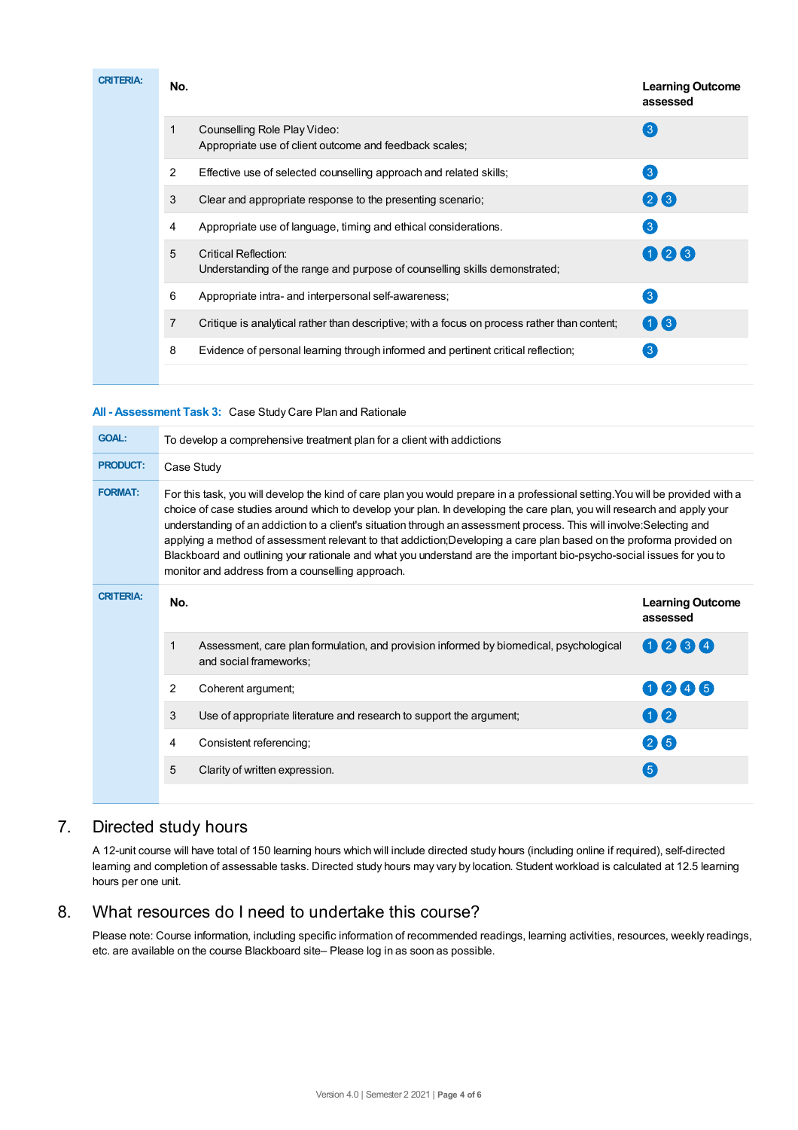| <b>CRITERIA:</b> | No. |                                                                                                    | <b>Learning Outcome</b><br>assessed |
|------------------|-----|----------------------------------------------------------------------------------------------------|-------------------------------------|
|                  | 1   | Counselling Role Play Video:<br>Appropriate use of client outcome and feedback scales;             | $\left(3\right)$                    |
|                  | 2   | Effective use of selected counselling approach and related skills;                                 | $\left(3\right)$                    |
|                  | 3   | Clear and appropriate response to the presenting scenario;                                         | 28                                  |
|                  | 4   | Appropriate use of language, timing and ethical considerations.                                    | $3^{\circ}$                         |
|                  | 5   | Critical Reflection:<br>Understanding of the range and purpose of counselling skills demonstrated; | 026                                 |
|                  | 6   | Appropriate intra- and interpersonal self-awareness;                                               | $\left(3\right)$                    |
|                  | 7   | Critique is analytical rather than descriptive; with a focus on process rather than content;       | 06                                  |
|                  | 8   | Evidence of personal learning through informed and pertinent critical reflection;                  | 3                                   |
|                  |     |                                                                                                    |                                     |

### **All - Assessment Task 3:** Case Study Care Plan and Rationale

| <b>GOAL:</b>     | To develop a comprehensive treatment plan for a client with addictions                                                                                                                                                                                                                                                                                                                                                                                                                                                                                                                                                                                                                 |                                                                                                                  |                                     |  |
|------------------|----------------------------------------------------------------------------------------------------------------------------------------------------------------------------------------------------------------------------------------------------------------------------------------------------------------------------------------------------------------------------------------------------------------------------------------------------------------------------------------------------------------------------------------------------------------------------------------------------------------------------------------------------------------------------------------|------------------------------------------------------------------------------------------------------------------|-------------------------------------|--|
| <b>PRODUCT:</b>  | Case Study                                                                                                                                                                                                                                                                                                                                                                                                                                                                                                                                                                                                                                                                             |                                                                                                                  |                                     |  |
| <b>FORMAT:</b>   | For this task, you will develop the kind of care plan you would prepare in a professional setting. You will be provided with a<br>choice of case studies around which to develop your plan. In developing the care plan, you will research and apply your<br>understanding of an addiction to a client's situation through an assessment process. This will involve:Selecting and<br>applying a method of assessment relevant to that addiction; Developing a care plan based on the proforma provided on<br>Blackboard and outlining your rationale and what you understand are the important bio-psycho-social issues for you to<br>monitor and address from a counselling approach. |                                                                                                                  |                                     |  |
| <b>CRITERIA:</b> | No.                                                                                                                                                                                                                                                                                                                                                                                                                                                                                                                                                                                                                                                                                    |                                                                                                                  | <b>Learning Outcome</b><br>assessed |  |
|                  | 1                                                                                                                                                                                                                                                                                                                                                                                                                                                                                                                                                                                                                                                                                      | Assessment, care plan formulation, and provision informed by biomedical, psychological<br>and social frameworks: | 0234                                |  |
|                  | $\overline{2}$                                                                                                                                                                                                                                                                                                                                                                                                                                                                                                                                                                                                                                                                         | Coherent argument;                                                                                               | 0246                                |  |
|                  | 3                                                                                                                                                                                                                                                                                                                                                                                                                                                                                                                                                                                                                                                                                      | Use of appropriate literature and research to support the argument;                                              | 02                                  |  |
|                  | 4                                                                                                                                                                                                                                                                                                                                                                                                                                                                                                                                                                                                                                                                                      | Consistent referencing;                                                                                          | 26                                  |  |
|                  | 5                                                                                                                                                                                                                                                                                                                                                                                                                                                                                                                                                                                                                                                                                      | Clarity of written expression.                                                                                   | (5)                                 |  |
|                  |                                                                                                                                                                                                                                                                                                                                                                                                                                                                                                                                                                                                                                                                                        |                                                                                                                  |                                     |  |

# 7. Directed study hours

A 12-unit course will have total of 150 learning hours which will include directed study hours (including online if required), self-directed learning and completion of assessable tasks. Directed study hours may vary by location. Student workload is calculated at 12.5 learning hours per one unit.

# 8. What resources do I need to undertake this course?

Please note: Course information, including specific information of recommended readings, learning activities, resources, weekly readings, etc. are available on the course Blackboard site– Please log in as soon as possible.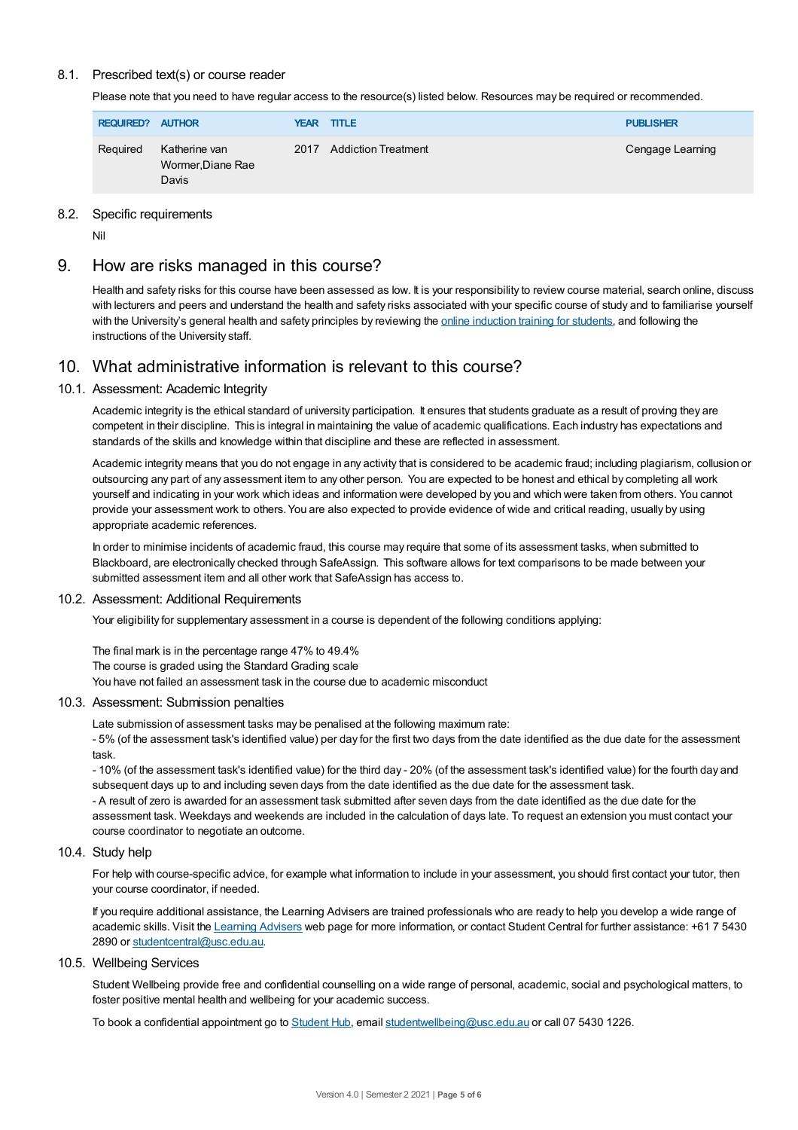### 8.1. Prescribed text(s) or course reader

Please note that you need to have regular access to the resource(s) listed below. Resources may be required or recommended.

| <b>REQUIRED?</b> | <b>AUTHOR</b>                               |  | <b>YEAR TITLE</b>          | <b>PUBLISHER</b> |
|------------------|---------------------------------------------|--|----------------------------|------------------|
| Required         | Katherine van<br>Wormer, Diane Rae<br>Davis |  | <b>Addiction Treatment</b> | Cengage Learning |

### 8.2. Specific requirements

Nil

# 9. How are risks managed in this course?

Health and safety risks for this course have been assessed as low. It is your responsibility to review course material, search online, discuss with lecturers and peers and understand the health and safety risks associated with your specific course of study and to familiarise yourself with the University's general health and safety principles by reviewing the online [induction](https://online.usc.edu.au/webapps/blackboard/content/listContentEditable.jsp?content_id=_632657_1&course_id=_14432_1) training for students, and following the instructions of the University staff.

## 10. What administrative information is relevant to this course?

### 10.1. Assessment: Academic Integrity

Academic integrity is the ethical standard of university participation. It ensures that students graduate as a result of proving they are competent in their discipline. This is integral in maintaining the value of academic qualifications. Each industry has expectations and standards of the skills and knowledge within that discipline and these are reflected in assessment.

Academic integrity means that you do not engage in any activity that is considered to be academic fraud; including plagiarism, collusion or outsourcing any part of any assessment item to any other person. You are expected to be honest and ethical by completing all work yourself and indicating in your work which ideas and information were developed by you and which were taken from others. You cannot provide your assessment work to others.You are also expected to provide evidence of wide and critical reading, usually by using appropriate academic references.

In order to minimise incidents of academic fraud, this course may require that some of its assessment tasks, when submitted to Blackboard, are electronically checked through SafeAssign. This software allows for text comparisons to be made between your submitted assessment item and all other work that SafeAssign has access to.

### 10.2. Assessment: Additional Requirements

Your eligibility for supplementary assessment in a course is dependent of the following conditions applying:

The final mark is in the percentage range 47% to 49.4% The course is graded using the Standard Grading scale You have not failed an assessment task in the course due to academic misconduct

### 10.3. Assessment: Submission penalties

Late submission of assessment tasks may be penalised at the following maximum rate:

- 5% (of the assessment task's identified value) per day for the first two days from the date identified as the due date for the assessment task.

- 10% (of the assessment task's identified value) for the third day - 20% (of the assessment task's identified value) for the fourth day and subsequent days up to and including seven days from the date identified as the due date for the assessment task. - A result of zero is awarded for an assessment task submitted after seven days from the date identified as the due date for the assessment task. Weekdays and weekends are included in the calculation of days late. To request an extension you must contact your course coordinator to negotiate an outcome.

### 10.4. Study help

For help with course-specific advice, for example what information to include in your assessment, you should first contact your tutor, then your course coordinator, if needed.

If you require additional assistance, the Learning Advisers are trained professionals who are ready to help you develop a wide range of academic skills. Visit the Learning [Advisers](https://www.usc.edu.au/current-students/student-support/academic-and-study-support/learning-advisers) web page for more information, or contact Student Central for further assistance: +61 7 5430 2890 or [studentcentral@usc.edu.au](mailto:studentcentral@usc.edu.au).

### 10.5. Wellbeing Services

Student Wellbeing provide free and confidential counselling on a wide range of personal, academic, social and psychological matters, to foster positive mental health and wellbeing for your academic success.

To book a confidential appointment go to [Student](https://studenthub.usc.edu.au/) Hub, email [studentwellbeing@usc.edu.au](mailto:studentwellbeing@usc.edu.au) or call 07 5430 1226.